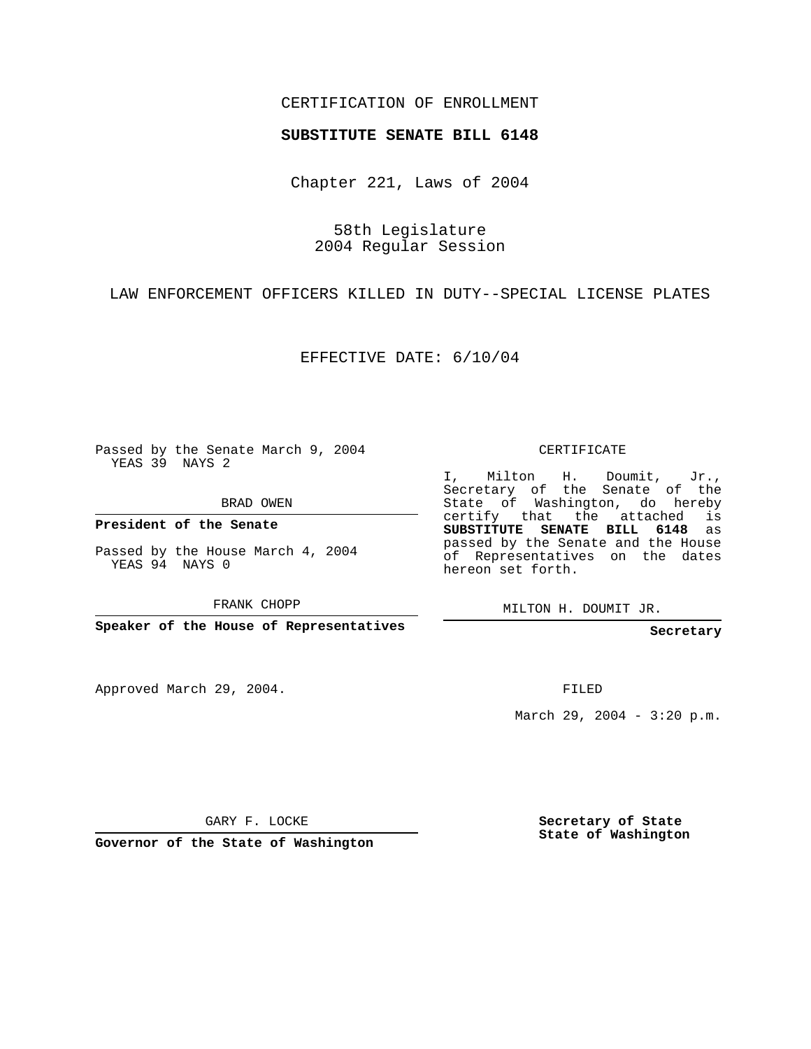## CERTIFICATION OF ENROLLMENT

## **SUBSTITUTE SENATE BILL 6148**

Chapter 221, Laws of 2004

58th Legislature 2004 Regular Session

LAW ENFORCEMENT OFFICERS KILLED IN DUTY--SPECIAL LICENSE PLATES

EFFECTIVE DATE: 6/10/04

Passed by the Senate March 9, 2004 YEAS 39 NAYS 2

BRAD OWEN

**President of the Senate**

Passed by the House March 4, 2004 YEAS 94 NAYS 0

FRANK CHOPP

**Speaker of the House of Representatives**

Approved March 29, 2004.

CERTIFICATE

I, Milton H. Doumit, Jr., Secretary of the Senate of the State of Washington, do hereby certify that the attached is **SUBSTITUTE SENATE BILL 6148** as passed by the Senate and the House of Representatives on the dates hereon set forth.

MILTON H. DOUMIT JR.

**Secretary**

FILED

March 29, 2004 - 3:20 p.m.

GARY F. LOCKE

**Governor of the State of Washington**

**Secretary of State State of Washington**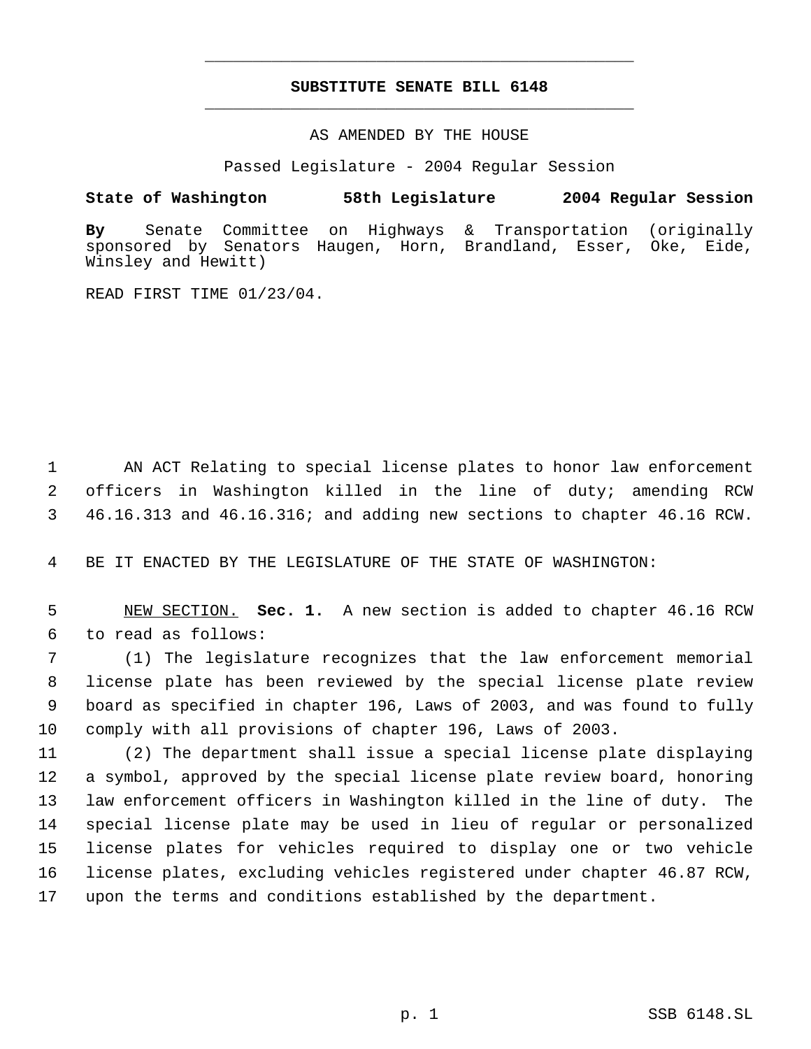## **SUBSTITUTE SENATE BILL 6148** \_\_\_\_\_\_\_\_\_\_\_\_\_\_\_\_\_\_\_\_\_\_\_\_\_\_\_\_\_\_\_\_\_\_\_\_\_\_\_\_\_\_\_\_\_

\_\_\_\_\_\_\_\_\_\_\_\_\_\_\_\_\_\_\_\_\_\_\_\_\_\_\_\_\_\_\_\_\_\_\_\_\_\_\_\_\_\_\_\_\_

AS AMENDED BY THE HOUSE

Passed Legislature - 2004 Regular Session

## **State of Washington 58th Legislature 2004 Regular Session**

**By** Senate Committee on Highways & Transportation (originally sponsored by Senators Haugen, Horn, Brandland, Esser, Oke, Eide, Winsley and Hewitt)

READ FIRST TIME 01/23/04.

 AN ACT Relating to special license plates to honor law enforcement officers in Washington killed in the line of duty; amending RCW 46.16.313 and 46.16.316; and adding new sections to chapter 46.16 RCW.

BE IT ENACTED BY THE LEGISLATURE OF THE STATE OF WASHINGTON:

 NEW SECTION. **Sec. 1.** A new section is added to chapter 46.16 RCW to read as follows:

 (1) The legislature recognizes that the law enforcement memorial license plate has been reviewed by the special license plate review board as specified in chapter 196, Laws of 2003, and was found to fully comply with all provisions of chapter 196, Laws of 2003.

 (2) The department shall issue a special license plate displaying a symbol, approved by the special license plate review board, honoring law enforcement officers in Washington killed in the line of duty. The special license plate may be used in lieu of regular or personalized license plates for vehicles required to display one or two vehicle license plates, excluding vehicles registered under chapter 46.87 RCW, upon the terms and conditions established by the department.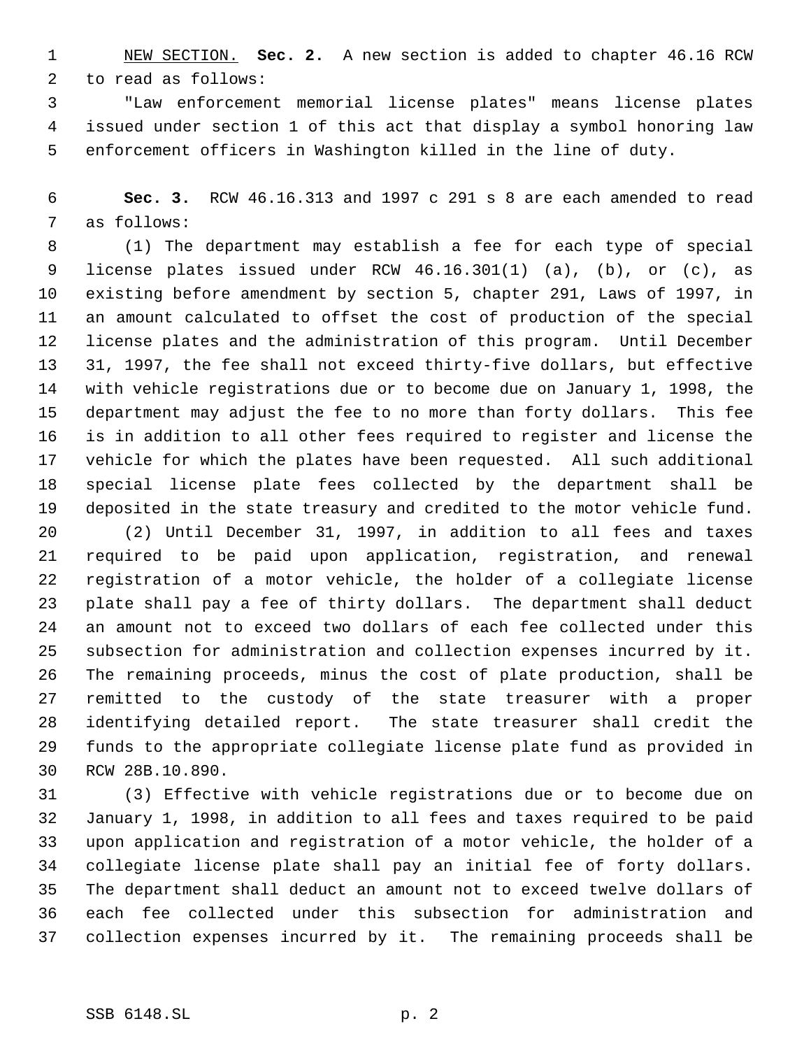NEW SECTION. **Sec. 2.** A new section is added to chapter 46.16 RCW to read as follows:

 "Law enforcement memorial license plates" means license plates issued under section 1 of this act that display a symbol honoring law enforcement officers in Washington killed in the line of duty.

 **Sec. 3.** RCW 46.16.313 and 1997 c 291 s 8 are each amended to read as follows:

 (1) The department may establish a fee for each type of special license plates issued under RCW 46.16.301(1) (a), (b), or (c), as existing before amendment by section 5, chapter 291, Laws of 1997, in an amount calculated to offset the cost of production of the special license plates and the administration of this program. Until December 31, 1997, the fee shall not exceed thirty-five dollars, but effective with vehicle registrations due or to become due on January 1, 1998, the department may adjust the fee to no more than forty dollars. This fee is in addition to all other fees required to register and license the vehicle for which the plates have been requested. All such additional special license plate fees collected by the department shall be deposited in the state treasury and credited to the motor vehicle fund.

 (2) Until December 31, 1997, in addition to all fees and taxes required to be paid upon application, registration, and renewal registration of a motor vehicle, the holder of a collegiate license plate shall pay a fee of thirty dollars. The department shall deduct an amount not to exceed two dollars of each fee collected under this subsection for administration and collection expenses incurred by it. The remaining proceeds, minus the cost of plate production, shall be remitted to the custody of the state treasurer with a proper identifying detailed report. The state treasurer shall credit the funds to the appropriate collegiate license plate fund as provided in RCW 28B.10.890.

 (3) Effective with vehicle registrations due or to become due on January 1, 1998, in addition to all fees and taxes required to be paid upon application and registration of a motor vehicle, the holder of a collegiate license plate shall pay an initial fee of forty dollars. The department shall deduct an amount not to exceed twelve dollars of each fee collected under this subsection for administration and collection expenses incurred by it. The remaining proceeds shall be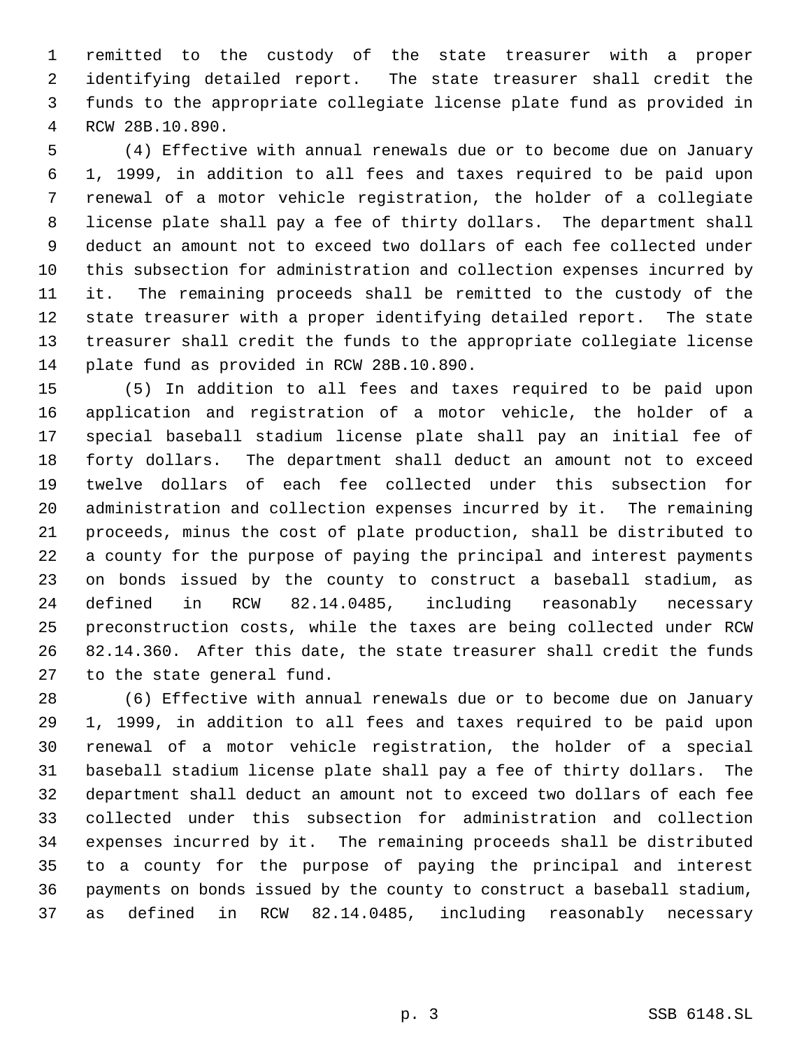remitted to the custody of the state treasurer with a proper identifying detailed report. The state treasurer shall credit the funds to the appropriate collegiate license plate fund as provided in RCW 28B.10.890.

 (4) Effective with annual renewals due or to become due on January 1, 1999, in addition to all fees and taxes required to be paid upon renewal of a motor vehicle registration, the holder of a collegiate license plate shall pay a fee of thirty dollars. The department shall deduct an amount not to exceed two dollars of each fee collected under this subsection for administration and collection expenses incurred by it. The remaining proceeds shall be remitted to the custody of the state treasurer with a proper identifying detailed report. The state treasurer shall credit the funds to the appropriate collegiate license plate fund as provided in RCW 28B.10.890.

 (5) In addition to all fees and taxes required to be paid upon application and registration of a motor vehicle, the holder of a special baseball stadium license plate shall pay an initial fee of forty dollars. The department shall deduct an amount not to exceed twelve dollars of each fee collected under this subsection for administration and collection expenses incurred by it. The remaining proceeds, minus the cost of plate production, shall be distributed to a county for the purpose of paying the principal and interest payments on bonds issued by the county to construct a baseball stadium, as defined in RCW 82.14.0485, including reasonably necessary preconstruction costs, while the taxes are being collected under RCW 82.14.360. After this date, the state treasurer shall credit the funds to the state general fund.

 (6) Effective with annual renewals due or to become due on January 1, 1999, in addition to all fees and taxes required to be paid upon renewal of a motor vehicle registration, the holder of a special baseball stadium license plate shall pay a fee of thirty dollars. The department shall deduct an amount not to exceed two dollars of each fee collected under this subsection for administration and collection expenses incurred by it. The remaining proceeds shall be distributed to a county for the purpose of paying the principal and interest payments on bonds issued by the county to construct a baseball stadium, as defined in RCW 82.14.0485, including reasonably necessary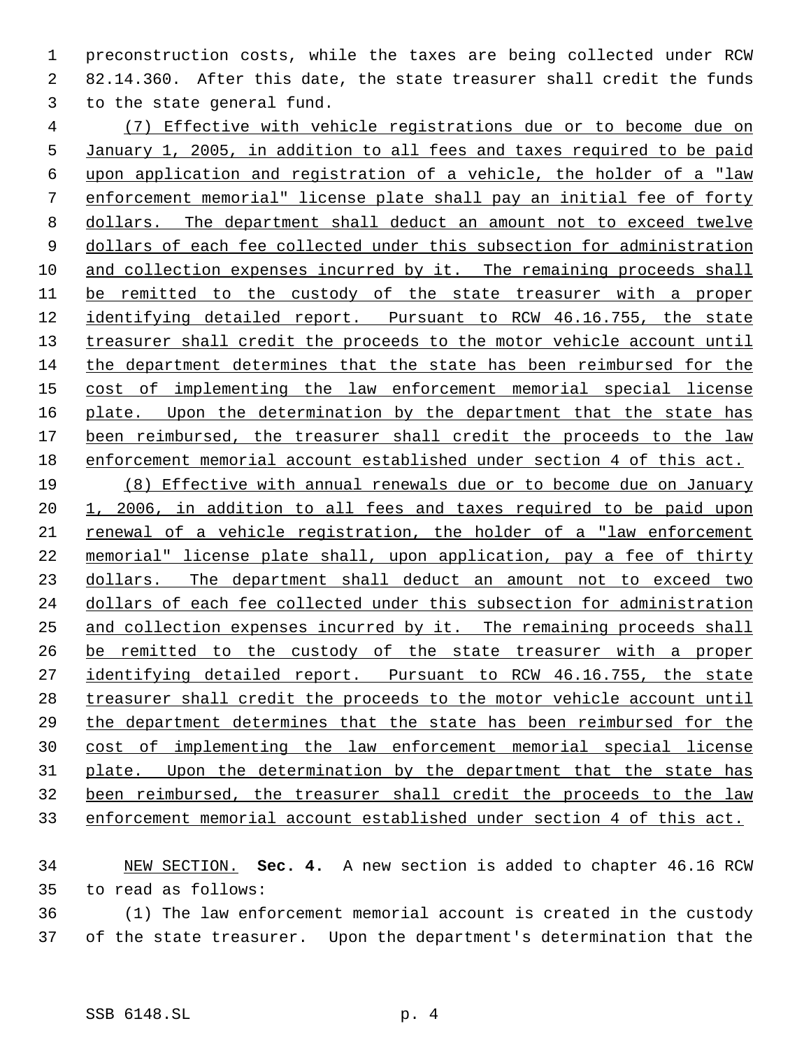preconstruction costs, while the taxes are being collected under RCW 82.14.360. After this date, the state treasurer shall credit the funds to the state general fund.

 (7) Effective with vehicle registrations due or to become due on January 1, 2005, in addition to all fees and taxes required to be paid upon application and registration of a vehicle, the holder of a "law enforcement memorial" license plate shall pay an initial fee of forty dollars. The department shall deduct an amount not to exceed twelve 9 dollars of each fee collected under this subsection for administration 10 and collection expenses incurred by it. The remaining proceeds shall be remitted to the custody of the state treasurer with a proper identifying detailed report. Pursuant to RCW 46.16.755, the state 13 treasurer shall credit the proceeds to the motor vehicle account until the department determines that the state has been reimbursed for the cost of implementing the law enforcement memorial special license 16 plate. Upon the determination by the department that the state has been reimbursed, the treasurer shall credit the proceeds to the law enforcement memorial account established under section 4 of this act.

 (8) Effective with annual renewals due or to become due on January 1, 2006, in addition to all fees and taxes required to be paid upon renewal of a vehicle registration, the holder of a "law enforcement memorial" license plate shall, upon application, pay a fee of thirty 23 dollars. The department shall deduct an amount not to exceed two dollars of each fee collected under this subsection for administration and collection expenses incurred by it. The remaining proceeds shall be remitted to the custody of the state treasurer with a proper 27 identifying detailed report. Pursuant to RCW 46.16.755, the state treasurer shall credit the proceeds to the motor vehicle account until the department determines that the state has been reimbursed for the cost of implementing the law enforcement memorial special license 31 plate. Upon the determination by the department that the state has been reimbursed, the treasurer shall credit the proceeds to the law enforcement memorial account established under section 4 of this act.

 NEW SECTION. **Sec. 4.** A new section is added to chapter 46.16 RCW to read as follows:

 (1) The law enforcement memorial account is created in the custody of the state treasurer. Upon the department's determination that the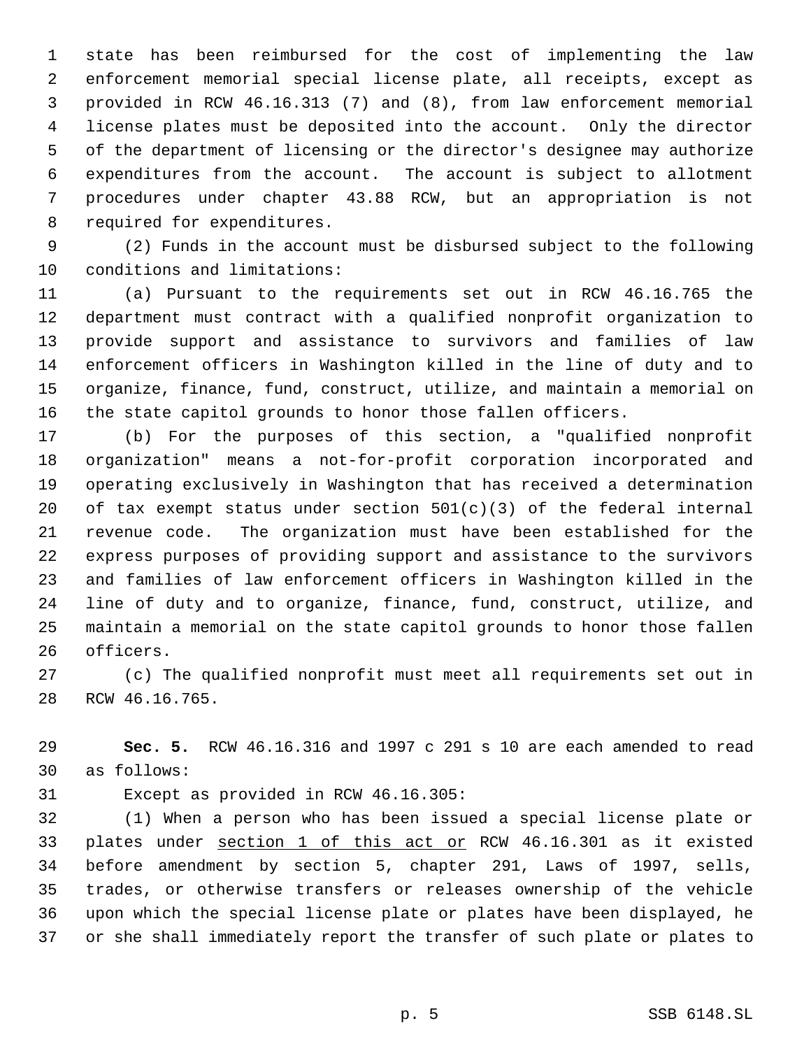state has been reimbursed for the cost of implementing the law enforcement memorial special license plate, all receipts, except as provided in RCW 46.16.313 (7) and (8), from law enforcement memorial license plates must be deposited into the account. Only the director of the department of licensing or the director's designee may authorize expenditures from the account. The account is subject to allotment procedures under chapter 43.88 RCW, but an appropriation is not required for expenditures.

 (2) Funds in the account must be disbursed subject to the following conditions and limitations:

 (a) Pursuant to the requirements set out in RCW 46.16.765 the department must contract with a qualified nonprofit organization to provide support and assistance to survivors and families of law enforcement officers in Washington killed in the line of duty and to organize, finance, fund, construct, utilize, and maintain a memorial on the state capitol grounds to honor those fallen officers.

 (b) For the purposes of this section, a "qualified nonprofit organization" means a not-for-profit corporation incorporated and operating exclusively in Washington that has received a determination 20 of tax exempt status under section  $501(c)(3)$  of the federal internal revenue code. The organization must have been established for the express purposes of providing support and assistance to the survivors and families of law enforcement officers in Washington killed in the line of duty and to organize, finance, fund, construct, utilize, and maintain a memorial on the state capitol grounds to honor those fallen officers.

 (c) The qualified nonprofit must meet all requirements set out in RCW 46.16.765.

 **Sec. 5.** RCW 46.16.316 and 1997 c 291 s 10 are each amended to read as follows:

Except as provided in RCW 46.16.305:

 (1) When a person who has been issued a special license plate or plates under section 1 of this act or RCW 46.16.301 as it existed before amendment by section 5, chapter 291, Laws of 1997, sells, trades, or otherwise transfers or releases ownership of the vehicle upon which the special license plate or plates have been displayed, he or she shall immediately report the transfer of such plate or plates to